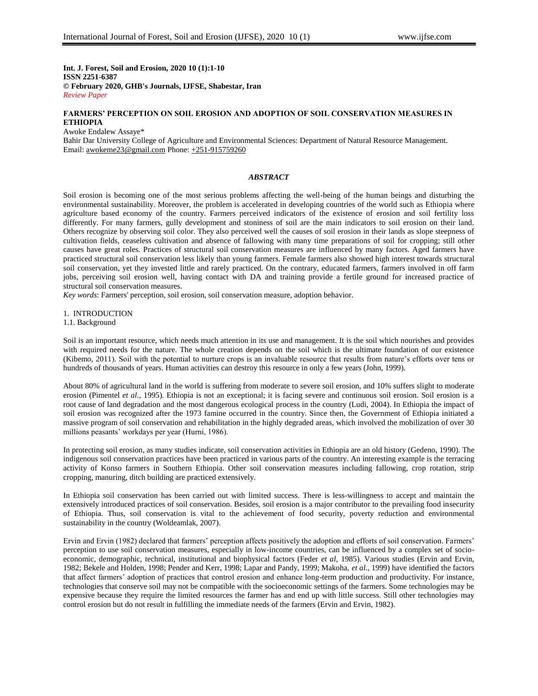**Int. J. Forest, Soil and Erosion, 2020 10 (1):1-10 ISSN 2251-6387 © February 2020, GHB's Journals, IJFSE, Shabestar, Iran** *Review Paper*

## **FARMERS' PERCEPTION ON SOIL EROSION AND ADOPTION OF SOIL CONSERVATION MEASURES IN ETHIOPIA**

Awoke Endalew Assaye\* Bahir Dar University College of Agriculture and Environmental Sciences: Department of Natural Resource Management. Email: [awokeme23@gmail.com](mailto:awokeme23@gmail.com) Phone: +251-915759260

## *ABSTRACT*

Soil erosion is becoming one of the most serious problems affecting the well-being of the human beings and disturbing the environmental sustainability. Moreover, the problem is accelerated in developing countries of the world such as Ethiopia where agriculture based economy of the country. Farmers perceived indicators of the existence of erosion and soil fertility loss differently. For many farmers, gully development and stoniness of soil are the main indicators to soil erosion on their land. Others recognize by observing soil color. They also perceived well the causes of soil erosion in their lands as slope steepness of cultivation fields, ceaseless cultivation and absence of fallowing with many time preparations of soil for cropping; still other causes have great roles. Practices of structural soil conservation measures are influenced by many factors. Aged farmers have practiced structural soil conservation less likely than young farmers. Female farmers also showed high interest towards structural soil conservation, yet they invested little and rarely practiced. On the contrary, educated farmers, farmers involved in off farm jobs, perceiving soil erosion well, having contact with DA and training provide a fertile ground for increased practice of structural soil conservation measures.

*Key words*: Farmers' perception, soil erosion, soil conservation measure, adoption behavior.

1. INTRODUCTION

1.1. Background

Soil is an important resource, which needs much attention in its use and management. It is the soil which nourishes and provides with required needs for the nature. The whole creation depends on the soil which is the ultimate foundation of our existence (Kibemo, 2011). Soil with the potential to nurture crops is an invaluable resource that results from nature"s efforts over tens or hundreds of thousands of years. Human activities can destroy this resource in only a few years (John, 1999).

About 80% of agricultural land in the world is suffering from moderate to severe soil erosion, and 10% suffers slight to moderate erosion (Pimentel *et al*., 1995). Ethiopia is not an exceptional; it is facing severe and continuous soil erosion. Soil erosion is a root cause of land degradation and the most dangerous ecological process in the country (Ludi, 2004). In Ethiopia the impact of soil erosion was recognized after the 1973 famine occurred in the country. Since then, the Government of Ethiopia initiated a massive program of soil conservation and rehabilitation in the highly degraded areas, which involved the mobilization of over 30 millions peasants" workdays per year (Hurni, 1986).

In protecting soil erosion, as many studies indicate, soil conservation activities in Ethiopia are an old history (Gedeno, 1990). The indigenous soil conservation practices have been practiced in various parts of the country. An interesting example is the terracing activity of Konso farmers in Southern Ethiopia. Other soil conservation measures including fallowing, crop rotation, strip cropping, manuring, ditch building are practiced extensively.

In Ethiopia soil conservation has been carried out with limited success. There is less-willingness to accept and maintain the extensively introduced practices of soil conservation. Besides, soil erosion is a major contributor to the prevailing food insecurity of Ethiopia. Thus, soil conservation is vital to the achievement of food security, poverty reduction and environmental sustainability in the country (Woldeamlak, 2007).

Ervin and Ervin (1982) declared that farmers" perception affects positively the adoption and efforts of soil conservation. Farmers" perception to use soil conservation measures, especially in low-income countries, can be influenced by a complex set of socioeconomic, demographic, technical, institutional and biophysical factors (Feder *et al*, 1985). Various studies (Ervin and Ervin, 1982; Bekele and Holden, 1998; Pender and Kerr, 1998; Lapar and Pandy, 1999; Makoha, *et al*., 1999) have identified the factors that affect farmers" adoption of practices that control erosion and enhance long-term production and productivity. For instance, technologies that conserve soil may not be compatible with the socioeconomic settings of the farmers. Some technologies may be expensive because they require the limited resources the farmer has and end up with little success. Still other technologies may control erosion but do not result in fulfilling the immediate needs of the farmers (Ervin and Ervin, 1982).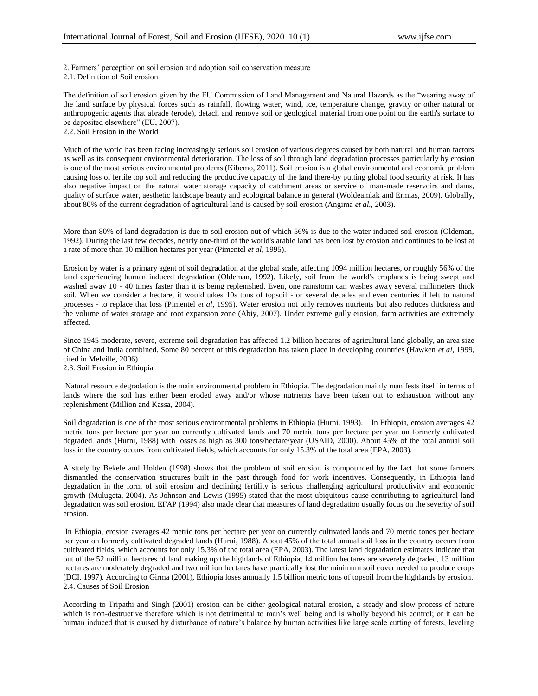2. Farmers" perception on soil erosion and adoption soil conservation measure

2.1. Definition of Soil erosion

The definition of soil erosion given by the EU Commission of Land Management and Natural Hazards as the "wearing away of the land surface by physical forces such as rainfall, flowing water, wind, ice, temperature change, gravity or other natural or anthropogenic agents that abrade (erode), detach and remove soil or geological material from one point on the earth's surface to be deposited elsewhere" (EU, 2007).

2.2. Soil Erosion in the World

Much of the world has been facing increasingly serious soil erosion of various degrees caused by both natural and human factors as well as its consequent environmental deterioration. The loss of soil through land degradation processes particularly by erosion is one of the most serious environmental problems (Kibemo, 2011). Soil erosion is a global environmental and economic problem causing loss of fertile top soil and reducing the productive capacity of the land there-by putting global food security at risk. It has also negative impact on the natural water storage capacity of catchment areas or service of man-made reservoirs and dams, quality of surface water, aesthetic landscape beauty and ecological balance in general (Woldeamlak and Ermias, 2009). Globally, about 80% of the current degradation of agricultural land is caused by soil erosion (Angima *et al.,* 2003).

More than 80% of land degradation is due to soil erosion out of which 56% is due to the water induced soil erosion (Oldeman, 1992). During the last few decades, nearly one-third of the world's arable land has been lost by erosion and continues to be lost at a rate of more than 10 million hectares per year (Pimentel *et al*, 1995).

Erosion by water is a primary agent of soil degradation at the global scale, affecting 1094 million hectares, or roughly 56% of the land experiencing human induced degradation (Oldeman, 1992). Likely, soil from the world's croplands is being swept and washed away 10 - 40 times faster than it is being replenished. Even, one rainstorm can washes away several millimeters thick soil. When we consider a hectare, it would takes 10s tons of topsoil - or several decades and even centuries if left to natural processes - to replace that loss (Pimentel *et al*, 1995). Water erosion not only removes nutrients but also reduces thickness and the volume of water storage and root expansion zone (Abiy, 2007). Under extreme gully erosion, farm activities are extremely affected.

Since 1945 moderate, severe, extreme soil degradation has affected 1.2 billion hectares of agricultural land globally, an area size of China and India combined. Some 80 percent of this degradation has taken place in developing countries (Hawken *et al*, 1999, cited in Melville, 2006). 2.3. Soil Erosion in Ethiopia

Natural resource degradation is the main environmental problem in Ethiopia. The degradation mainly manifests itself in terms of lands where the soil has either been eroded away and/or whose nutrients have been taken out to exhaustion without any replenishment (Million and Kassa, 2004).

Soil degradation is one of the most serious environmental problems in Ethiopia (Hurni, 1993). In Ethiopia, erosion averages 42 metric tons per hectare per year on currently cultivated lands and 70 metric tons per hectare per year on formerly cultivated degraded lands (Hurni, 1988) with losses as high as 300 tons/hectare/year (USAID, 2000). About 45% of the total annual soil loss in the country occurs from cultivated fields, which accounts for only 15.3% of the total area (EPA, 2003).

A study by Bekele and Holden (1998) shows that the problem of soil erosion is compounded by the fact that some farmers dismantled the conservation structures built in the past through food for work incentives. Consequently, in Ethiopia land degradation in the form of soil erosion and declining fertility is serious challenging agricultural productivity and economic growth (Mulugeta, 2004). As Johnson and Lewis (1995) stated that the most ubiquitous cause contributing to agricultural land degradation was soil erosion. EFAP (1994) also made clear that measures of land degradation usually focus on the severity of soil erosion.

In Ethiopia, erosion averages 42 metric tons per hectare per year on currently cultivated lands and 70 metric tones per hectare per year on formerly cultivated degraded lands (Hurni, 1988). About 45% of the total annual soil loss in the country occurs from cultivated fields, which accounts for only 15.3% of the total area (EPA, 2003). The latest land degradation estimates indicate that out of the 52 million hectares of land making up the highlands of Ethiopia, 14 million hectares are severely degraded, 13 million hectares are moderately degraded and two million hectares have practically lost the minimum soil cover needed to produce crops (DCI, 1997). According to Girma (2001), Ethiopia loses annually 1.5 billion metric tons of topsoil from the highlands by erosion. 2.4. Causes of Soil Erosion

According to Tripathi and Singh (2001) erosion can be either geological natural erosion, a steady and slow process of nature which is non-destructive therefore which is not detrimental to man"s well being and is wholly beyond his control; or it can be human induced that is caused by disturbance of nature's balance by human activities like large scale cutting of forests, leveling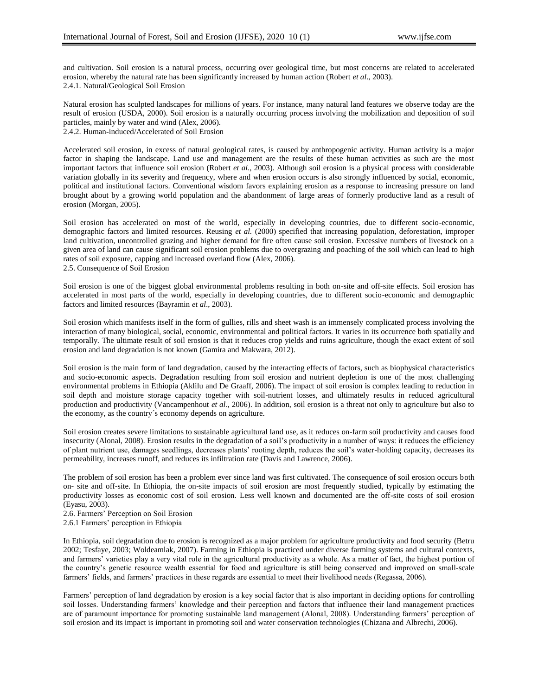and cultivation. Soil erosion is a natural process, occurring over geological time, but most concerns are related to accelerated erosion, whereby the natural rate has been significantly increased by human action (Robert *et al*., 2003). 2.4.1. Natural/Geological Soil Erosion

Natural erosion has sculpted landscapes for millions of years. For instance, many natural land features we observe today are the result of erosion (USDA, 2000). Soil erosion is a naturally occurring process involving the mobilization and deposition of soil particles, mainly by water and wind (Alex, 2006).

2.4.2. Human-induced/Accelerated of Soil Erosion

Accelerated soil erosion, in excess of natural geological rates, is caused by anthropogenic activity. Human activity is a major factor in shaping the landscape. Land use and management are the results of these human activities as such are the most important factors that influence soil erosion (Robert *et al*., 2003). Although soil erosion is a physical process with considerable variation globally in its severity and frequency, where and when erosion occurs is also strongly influenced by social, economic, political and institutional factors. Conventional wisdom favors explaining erosion as a response to increasing pressure on land brought about by a growing world population and the abandonment of large areas of formerly productive land as a result of erosion (Morgan, 2005).

Soil erosion has accelerated on most of the world, especially in developing countries, due to different socio-economic, demographic factors and limited resources. Reusing *et al.* (2000) specified that increasing population, deforestation, improper land cultivation, uncontrolled grazing and higher demand for fire often cause soil erosion. Excessive numbers of livestock on a given area of land can cause significant soil erosion problems due to overgrazing and poaching of the soil which can lead to high rates of soil exposure, capping and increased overland flow (Alex, 2006). 2.5. Consequence of Soil Erosion

Soil erosion is one of the biggest global environmental problems resulting in both on-site and off-site effects. Soil erosion has accelerated in most parts of the world, especially in developing countries, due to different socio-economic and demographic factors and limited resources (Bayramin *et al*., 2003).

Soil erosion which manifests itself in the form of gullies, rills and sheet wash is an immensely complicated process involving the interaction of many biological, social, economic, environmental and political factors. It varies in its occurrence both spatially and temporally. The ultimate result of soil erosion is that it reduces crop yields and ruins agriculture, though the exact extent of soil erosion and land degradation is not known (Gamira and Makwara, 2012).

Soil erosion is the main form of land degradation, caused by the interacting effects of factors, such as biophysical characteristics and socio-economic aspects. Degradation resulting from soil erosion and nutrient depletion is one of the most challenging environmental problems in Ethiopia (Aklilu and De Graaff, 2006). The impact of soil erosion is complex leading to reduction in soil depth and moisture storage capacity together with soil-nutrient losses, and ultimately results in reduced agricultural production and productivity (Vancampenhout *et al.*, 2006). In addition, soil erosion is a threat not only to agriculture but also to the economy, as the country´s economy depends on agriculture.

Soil erosion creates severe limitations to sustainable agricultural land use, as it reduces on-farm soil productivity and causes food insecurity (Alonal, 2008). Erosion results in the degradation of a soil"s productivity in a number of ways: it reduces the efficiency of plant nutrient use, damages seedlings, decreases plants" rooting depth, reduces the soil"s water-holding capacity, decreases its permeability, increases runoff, and reduces its infiltration rate (Davis and Lawrence, 2006).

The problem of soil erosion has been a problem ever since land was first cultivated. The consequence of soil erosion occurs both on- site and off-site. In Ethiopia, the on-site impacts of soil erosion are most frequently studied, typically by estimating the productivity losses as economic cost of soil erosion. Less well known and documented are the off-site costs of soil erosion (Eyasu, 2003).

2.6. Farmers" Perception on Soil Erosion

2.6.1 Farmers" perception in Ethiopia

In Ethiopia, soil degradation due to erosion is recognized as a major problem for agriculture productivity and food security (Betru 2002; Tesfaye, 2003; Woldeamlak, 2007). Farming in Ethiopia is practiced under diverse farming systems and cultural contexts, and farmers' varieties play a very vital role in the agricultural productivity as a whole. As a matter of fact, the highest portion of the country"s genetic resource wealth essential for food and agriculture is still being conserved and improved on small-scale farmers" fields, and farmers" practices in these regards are essential to meet their livelihood needs (Regassa, 2006).

Farmers" perception of land degradation by erosion is a key social factor that is also important in deciding options for controlling soil losses. Understanding farmers" knowledge and their perception and factors that influence their land management practices are of paramount importance for promoting sustainable land management (Alonal, 2008). Understanding farmers" perception of soil erosion and its impact is important in promoting soil and water conservation technologies (Chizana and Albrechi, 2006).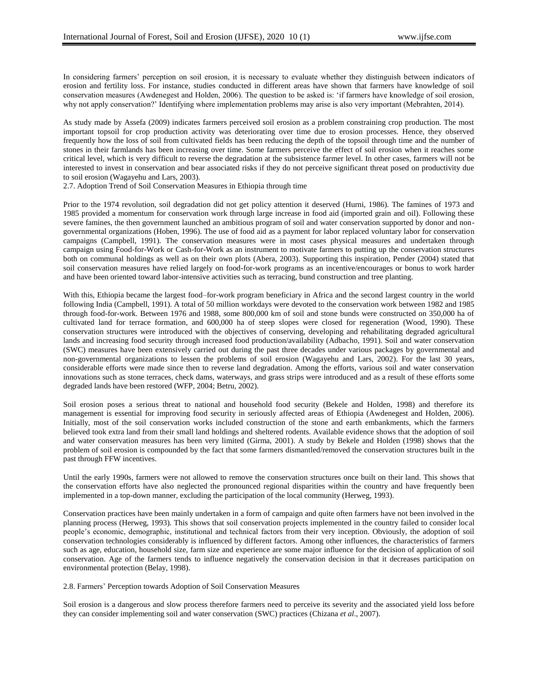In considering farmers" perception on soil erosion, it is necessary to evaluate whether they distinguish between indicators of erosion and fertility loss. For instance, studies conducted in different areas have shown that farmers have knowledge of soil conservation measures (Awdenegest and Holden, 2006). The question to be asked is: "if farmers have knowledge of soil erosion, why not apply conservation?" Identifying where implementation problems may arise is also very important (Mebrahten, 2014).

As study made by Assefa (2009) indicates farmers perceived soil erosion as a problem constraining crop production. The most important topsoil for crop production activity was deteriorating over time due to erosion processes. Hence, they observed frequently how the loss of soil from cultivated fields has been reducing the depth of the topsoil through time and the number of stones in their farmlands has been increasing over time. Some farmers perceive the effect of soil erosion when it reaches some critical level, which is very difficult to reverse the degradation at the subsistence farmer level. In other cases, farmers will not be interested to invest in conservation and bear associated risks if they do not perceive significant threat posed on productivity due to soil erosion (Wagayehu and Lars, 2003).

2.7. Adoption Trend of Soil Conservation Measures in Ethiopia through time

Prior to the 1974 revolution, soil degradation did not get policy attention it deserved (Hurni, 1986). The famines of 1973 and 1985 provided a momentum for conservation work through large increase in food aid (imported grain and oil). Following these severe famines, the then government launched an ambitious program of soil and water conservation supported by donor and nongovernmental organizations (Hoben, 1996). The use of food aid as a payment for labor replaced voluntary labor for conservation campaigns (Campbell, 1991). The conservation measures were in most cases physical measures and undertaken through campaign using Food-for-Work or Cash-for-Work as an instrument to motivate farmers to putting up the conservation structures both on communal holdings as well as on their own plots (Abera, 2003). Supporting this inspiration, Pender (2004) stated that soil conservation measures have relied largely on food-for-work programs as an incentive/encourages or bonus to work harder and have been oriented toward labor-intensive activities such as terracing, bund construction and tree planting.

With this, Ethiopia became the largest food–for-work program beneficiary in Africa and the second largest country in the world following India (Campbell, 1991). A total of 50 million workdays were devoted to the conservation work between 1982 and 1985 through food-for-work. Between 1976 and 1988, some 800,000 km of soil and stone bunds were constructed on 350,000 ha of cultivated land for terrace formation, and 600,000 ha of steep slopes were closed for regeneration (Wood, 1990). These conservation structures were introduced with the objectives of conserving, developing and rehabilitating degraded agricultural lands and increasing food security through increased food production/availability (Adbacho, 1991). Soil and water conservation (SWC) measures have been extensively carried out during the past three decades under various packages by governmental and non-governmental organizations to lessen the problems of soil erosion (Wagayehu and Lars, 2002). For the last 30 years, considerable efforts were made since then to reverse land degradation. Among the efforts, various soil and water conservation innovations such as stone terraces, check dams, waterways, and grass strips were introduced and as a result of these efforts some degraded lands have been restored (WFP, 2004; Betru, 2002).

Soil erosion poses a serious threat to national and household food security (Bekele and Holden, 1998) and therefore its management is essential for improving food security in seriously affected areas of Ethiopia (Awdenegest and Holden, 2006). Initially, most of the soil conservation works included construction of the stone and earth embankments, which the farmers believed took extra land from their small land holdings and sheltered rodents. Available evidence shows that the adoption of soil and water conservation measures has been very limited (Girma, 2001). A study by Bekele and Holden (1998) shows that the problem of soil erosion is compounded by the fact that some farmers dismantled/removed the conservation structures built in the past through FFW incentives.

Until the early 1990s, farmers were not allowed to remove the conservation structures once built on their land. This shows that the conservation efforts have also neglected the pronounced regional disparities within the country and have frequently been implemented in a top-down manner, excluding the participation of the local community (Herweg, 1993).

Conservation practices have been mainly undertaken in a form of campaign and quite often farmers have not been involved in the planning process (Herweg, 1993). This shows that soil conservation projects implemented in the country failed to consider local people"s economic, demographic, institutional and technical factors from their very inception. Obviously, the adoption of soil conservation technologies considerably is influenced by different factors. Among other influences, the characteristics of farmers such as age, education, household size, farm size and experience are some major influence for the decision of application of soil conservation. Age of the farmers tends to influence negatively the conservation decision in that it decreases participation on environmental protection (Belay, 1998).

## 2.8. Farmers" Perception towards Adoption of Soil Conservation Measures

Soil erosion is a dangerous and slow process therefore farmers need to perceive its severity and the associated yield loss before they can consider implementing soil and water conservation (SWC) practices (Chizana *et al*., 2007).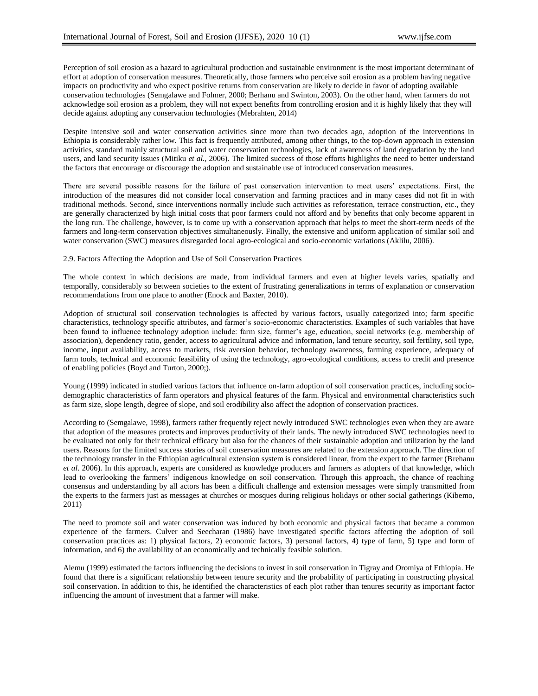Perception of soil erosion as a hazard to agricultural production and sustainable environment is the most important determinant of effort at adoption of conservation measures. Theoretically, those farmers who perceive soil erosion as a problem having negative impacts on productivity and who expect positive returns from conservation are likely to decide in favor of adopting available conservation technologies (Semgalawe and Folmer, 2000; Berhanu and Swinton, 2003). On the other hand, when farmers do not acknowledge soil erosion as a problem, they will not expect benefits from controlling erosion and it is highly likely that they will decide against adopting any conservation technologies (Mebrahten, 2014)

Despite intensive soil and water conservation activities since more than two decades ago, adoption of the interventions in Ethiopia is considerably rather low. This fact is frequently attributed, among other things, to the top-down approach in extension activities, standard mainly structural soil and water conservation technologies, lack of awareness of land degradation by the land users, and land security issues (Mitiku *et al.,* 2006). The limited success of those efforts highlights the need to better understand the factors that encourage or discourage the adoption and sustainable use of introduced conservation measures.

There are several possible reasons for the failure of past conservation intervention to meet users" expectations. First, the introduction of the measures did not consider local conservation and farming practices and in many cases did not fit in with traditional methods. Second, since interventions normally include such activities as reforestation, terrace construction, etc., they are generally characterized by high initial costs that poor farmers could not afford and by benefits that only become apparent in the long run. The challenge, however, is to come up with a conservation approach that helps to meet the short-term needs of the farmers and long-term conservation objectives simultaneously. Finally, the extensive and uniform application of similar soil and water conservation (SWC) measures disregarded local agro-ecological and socio-economic variations (Aklilu, 2006).

2.9. Factors Affecting the Adoption and Use of Soil Conservation Practices

The whole context in which decisions are made, from individual farmers and even at higher levels varies, spatially and temporally, considerably so between societies to the extent of frustrating generalizations in terms of explanation or conservation recommendations from one place to another (Enock and Baxter, 2010).

Adoption of structural soil conservation technologies is affected by various factors, usually categorized into; farm specific characteristics, technology specific attributes, and farmer"s socio-economic characteristics. Examples of such variables that have been found to influence technology adoption include: farm size, farmer"s age, education, social networks (e.g. membership of association), dependency ratio, gender, access to agricultural advice and information, land tenure security, soil fertility, soil type, income, input availability, access to markets, risk aversion behavior, technology awareness, farming experience, adequacy of farm tools, technical and economic feasibility of using the technology, agro-ecological conditions, access to credit and presence of enabling policies (Boyd and Turton, 2000;).

Young (1999) indicated in studied various factors that influence on-farm adoption of soil conservation practices, including sociodemographic characteristics of farm operators and physical features of the farm. Physical and environmental characteristics such as farm size, slope length, degree of slope, and soil erodibility also affect the adoption of conservation practices.

According to (Semgalawe, 1998), farmers rather frequently reject newly introduced SWC technologies even when they are aware that adoption of the measures protects and improves productivity of their lands. The newly introduced SWC technologies need to be evaluated not only for their technical efficacy but also for the chances of their sustainable adoption and utilization by the land users. Reasons for the limited success stories of soil conservation measures are related to the extension approach. The direction of the technology transfer in the Ethiopian agricultural extension system is considered linear, from the expert to the farmer (Brehanu *et al*. 2006). In this approach, experts are considered as knowledge producers and farmers as adopters of that knowledge, which lead to overlooking the farmers" indigenous knowledge on soil conservation. Through this approach, the chance of reaching consensus and understanding by all actors has been a difficult challenge and extension messages were simply transmitted from the experts to the farmers just as messages at churches or mosques during religious holidays or other social gatherings (Kibemo, 2011)

The need to promote soil and water conservation was induced by both economic and physical factors that became a common experience of the farmers. Culver and Seecharan (1986) have investigated specific factors affecting the adoption of soil conservation practices as: 1) physical factors, 2) economic factors, 3) personal factors, 4) type of farm, 5) type and form of information, and 6) the availability of an economically and technically feasible solution.

Alemu (1999) estimated the factors influencing the decisions to invest in soil conservation in Tigray and Oromiya of Ethiopia. He found that there is a significant relationship between tenure security and the probability of participating in constructing physical soil conservation. In addition to this, he identified the characteristics of each plot rather than tenures security as important factor influencing the amount of investment that a farmer will make.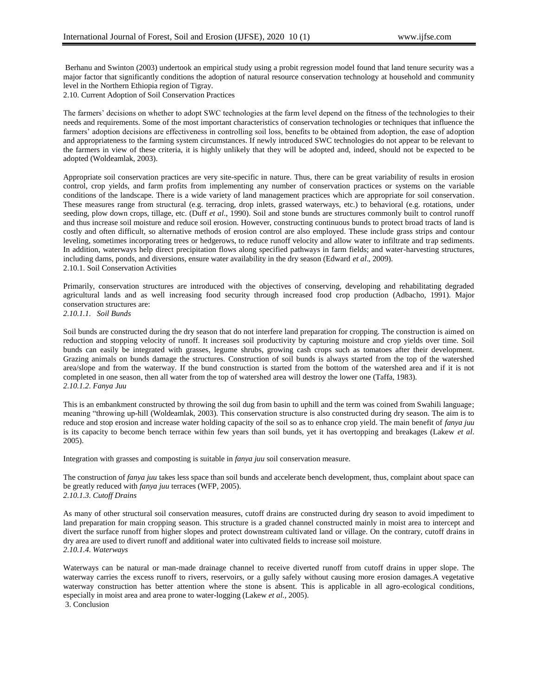Berhanu and Swinton (2003) undertook an empirical study using a probit regression model found that land tenure security was a major factor that significantly conditions the adoption of natural resource conservation technology at household and community level in the Northern Ethiopia region of Tigray.

2.10. Current Adoption of Soil Conservation Practices

The farmers" decisions on whether to adopt SWC technologies at the farm level depend on the fitness of the technologies to their needs and requirements. Some of the most important characteristics of conservation technologies or techniques that influence the farmers' adoption decisions are effectiveness in controlling soil loss, benefits to be obtained from adoption, the ease of adoption and appropriateness to the farming system circumstances. If newly introduced SWC technologies do not appear to be relevant to the farmers in view of these criteria, it is highly unlikely that they will be adopted and, indeed, should not be expected to be adopted (Woldeamlak, 2003).

Appropriate soil conservation practices are very site-specific in nature. Thus, there can be great variability of results in erosion control, crop yields, and farm profits from implementing any number of conservation practices or systems on the variable conditions of the landscape. There is a wide variety of land management practices which are appropriate for soil conservation. These measures range from structural (e.g. terracing, drop inlets, grassed waterways, etc.) to behavioral (e.g. rotations, under seeding, plow down crops, tillage, etc. (Duff *et al*., 1990). Soil and stone bunds are structures commonly built to control runoff and thus increase soil moisture and reduce soil erosion. However, constructing continuous bunds to protect broad tracts of land is costly and often difficult, so alternative methods of erosion control are also employed. These include grass strips and contour leveling, sometimes incorporating trees or hedgerows, to reduce runoff velocity and allow water to infiltrate and trap sediments. In addition, waterways help direct precipitation flows along specified pathways in farm fields; and water-harvesting structures, including dams, ponds, and diversions, ensure water availability in the dry season (Edward *et al*., 2009). 2.10.1. Soil Conservation Activities

Primarily, conservation structures are introduced with the objectives of conserving, developing and rehabilitating degraded agricultural lands and as well increasing food security through increased food crop production (Adbacho, 1991). Major conservation structures are: *2.10.1.1. Soil Bunds*

Soil bunds are constructed during the dry season that do not interfere land preparation for cropping. The construction is aimed on reduction and stopping velocity of runoff. It increases soil productivity by capturing moisture and crop yields over time. Soil bunds can easily be integrated with grasses, legume shrubs, growing cash crops such as tomatoes after their development. Grazing animals on bunds damage the structures. Construction of soil bunds is always started from the top of the watershed area/slope and from the waterway. If the bund construction is started from the bottom of the watershed area and if it is not completed in one season, then all water from the top of watershed area will destroy the lower one (Taffa, 1983). *2.10.1.2. Fanya Juu*

This is an embankment constructed by throwing the soil dug from basin to uphill and the term was coined from Swahili language; meaning "throwing up-hill (Woldeamlak, 2003). This conservation structure is also constructed during dry season. The aim is to reduce and stop erosion and increase water holding capacity of the soil so as to enhance crop yield. The main benefit of *fanya juu* is its capacity to become bench terrace within few years than soil bunds, yet it has overtopping and breakages (Lakew *et al*. 2005).

Integration with grasses and composting is suitable in *fanya juu* soil conservation measure.

The construction of *fanya juu* takes less space than soil bunds and accelerate bench development, thus, complaint about space can be greatly reduced with *fanya juu* terraces (WFP, 2005). *2.10.1.3. Cutoff Drains*

As many of other structural soil conservation measures, cutoff drains are constructed during dry season to avoid impediment to land preparation for main cropping season. This structure is a graded channel constructed mainly in moist area to intercept and divert the surface runoff from higher slopes and protect downstream cultivated land or village. On the contrary, cutoff drains in dry area are used to divert runoff and additional water into cultivated fields to increase soil moisture. *2.10.1.4. Waterways*

Waterways can be natural or man-made drainage channel to receive diverted runoff from cutoff drains in upper slope. The waterway carries the excess runoff to rivers, reservoirs, or a gully safely without causing more erosion damages.A vegetative waterway construction has better attention where the stone is absent. This is applicable in all agro-ecological conditions, especially in moist area and area prone to water-logging (Lakew *et al.,* 2005). 3. Conclusion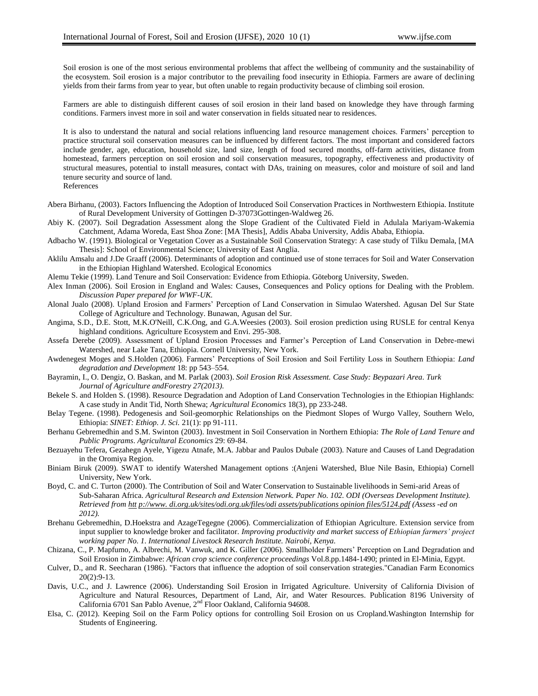Soil erosion is one of the most serious environmental problems that affect the wellbeing of community and the sustainability of the ecosystem. Soil erosion is a major contributor to the prevailing food insecurity in Ethiopia. Farmers are aware of declining yields from their farms from year to year, but often unable to regain productivity because of climbing soil erosion.

Farmers are able to distinguish different causes of soil erosion in their land based on knowledge they have through farming conditions. Farmers invest more in soil and water conservation in fields situated near to residences.

It is also to understand the natural and social relations influencing land resource management choices. Farmers" perception to practice structural soil conservation measures can be influenced by different factors. The most important and considered factors include gender, age, education, household size, land size, length of food secured months, off-farm activities, distance from homestead, farmers perception on soil erosion and soil conservation measures, topography, effectiveness and productivity of structural measures, potential to install measures, contact with DAs, training on measures, color and moisture of soil and land tenure security and source of land. References

- Abera Birhanu, (2003). Factors Influencing the Adoption of Introduced Soil Conservation Practices in Northwestern Ethiopia. Institute of Rural Development University of Gottingen D-37073Gottingen-Waldweg 26.
- Abiy K. (2007). Soil Degradation Assessment along the Slope Gradient of the Cultivated Field in Adulala Mariyam-Wakemia Catchment, Adama Woreda, East Shoa Zone: [MA Thesis], Addis Ababa University, Addis Ababa, Ethiopia.
- Adbacho W. (1991). Biological or Vegetation Cover as a Sustainable Soil Conservation Strategy: A case study of Tilku Demala, [MA Thesis]: School of Environmental Science; University of East Anglia.
- Aklilu Amsalu and J.De Graaff (2006). Determinants of adoption and continued use of stone terraces for Soil and Water Conservation in the Ethiopian Highland Watershed. Ecological Economics
- Alemu Tekie (1999). Land Tenure and Soil Conservation: Evidence from Ethiopia. Göteborg University, Sweden.
- Alex Inman (2006). Soil Erosion in England and Wales: Causes, Consequences and Policy options for Dealing with the Problem. *Discussion Paper prepared for WWF-UK.*
- Alonal Jualo (2008). Upland Erosion and Farmers" Perception of Land Conservation in Simulao Watershed. Agusan Del Sur State College of Agriculture and Technology. Bunawan, Agusan del Sur.
- Angima, S.D., D.E. Stott, M.K.O'Neill, C.K.Ong, and G.A.Weesies (2003). Soil erosion prediction using RUSLE for central Kenya highland conditions. Agriculture Ecosystem and Envi. 295-308.
- Assefa Derebe (2009). Assessment of Upland Erosion Processes and Farmer"s Perception of Land Conservation in Debre-mewi Watershed, near Lake Tana, Ethiopia. Cornell University, New York.
- Awdenegest Moges and S.Holden (2006). Farmers" Perceptions of Soil Erosion and Soil Fertility Loss in Southern Ethiopia: *Land degradation and Development* 18: pp 543–554.
- Bayramin, I., O. Dengiz, O. Baskan, and M. Parlak (2003). *Soil Erosion Risk Assessment. Case Study: Beypazari Area*. *Turk Journal of Agriculture andForestry 27(2013).*
- Bekele S. and Holden S. (1998). Resource Degradation and Adoption of Land Conservation Technologies in the Ethiopian Highlands: A case study in Andit Tid, North Shewa; *Agricultural Economics* 18(3), pp 233-248.
- Belay Tegene. (1998). Pedogenesis and Soil-geomorphic Relationships on the Piedmont Slopes of Wurgo Valley, Southern Welo, Ethiopia: *SINET: Ethiop. J. Sci.* 21(1): pp 91-111.
- Berhanu Gebremedhin and S.M. Swinton (2003). Investment in Soil Conservation in Northern Ethiopia: *The Role of Land Tenure and Public Programs*. *Agricultural Economics* 29: 69-84.
- Bezuayehu Tefera, Gezahegn Ayele, Yigezu Atnafe, M.A. Jabbar and Paulos Dubale (2003). Nature and Causes of Land Degradation in the Oromiya Region.
- Biniam Biruk (2009). SWAT to identify Watershed Management options :(Anjeni Watershed, Blue Nile Basin, Ethiopia) Cornell University, New York.
- Boyd, C. and C. Turton (2000). The Contribution of Soil and Water Conservation to Sustainable livelihoods in Semi-arid Areas of Sub-Saharan Africa. *Agricultural Research and Extension Network. Paper No. 102. ODI (Overseas Development Institute). Retrieved from htt p://www. di.org.uk/sites/odi.org.uk/files/odi assets/publications opinion files/5124.pdf (Assess -ed on 2012).*
- Brehanu Gebremedhin, D.Hoekstra and AzageTegegne (2006). Commercialization of Ethiopian Agriculture. Extension service from input supplier to knowledge broker and facilitator. *Improving productivity and market success of Ethiopian farmers' project working paper No. 1. International Livestock Research Institute. Nairobi, Kenya.*
- Chizana, C., P. Mapfumo, A. Albrechi, M. Vanwuk, and K. Giller (2006). Smallholder Farmers" Perception on Land Degradation and Soil Erosion in Zimbabwe: *African crop science conference proceedings* Vol.8.pp.1484-1490; printed in El-Minia, Egypt.
- Culver, D., and R. Seecharan (1986). "Factors that influence the adoption of soil conservation strategies."Canadian Farm Economics 20(2):9-13.
- Davis, U.C., and J. Lawrence (2006). Understanding Soil Erosion in Irrigated Agriculture. University of California Division of Agriculture and Natural Resources, Department of Land, Air, and Water Resources. Publication 8196 University of California 6701 San Pablo Avenue, 2<sup>nd</sup> Floor Oakland, California 94608.
- Elsa, C. (2012). Keeping Soil on the Farm Policy options for controlling Soil Erosion on us Cropland.Washington Internship for Students of Engineering.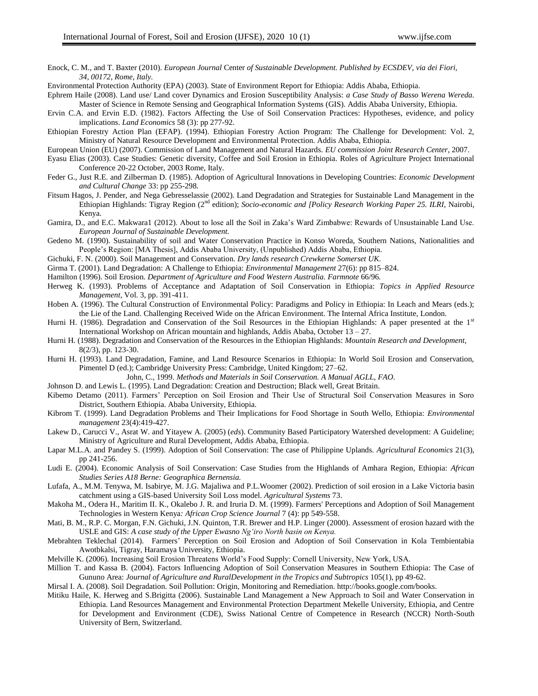Enock, C. M., and T. Baxter (2010). *European Journal* Center *of Sustainable Development. Published by ECSDEV, via dei Fiori, 34, 00172, Rome, Italy.*

Environmental Protection Authority (EPA) (2003). State of Environment Report for Ethiopia: Addis Ababa, Ethiopia.

- Ephrem Haile (2008). Land use/ Land cover Dynamics and Erosion Susceptibility Analysis: *a Case Study of Basso Werena Wereda.*  Master of Science in Remote Sensing and Geographical Information Systems (GIS). Addis Ababa University, Ethiopia.
- Ervin C.A. and Ervin E.D. (1982). Factors Affecting the Use of Soil Conservation Practices: Hypotheses, evidence, and policy implications. *Land Economics* 58 (3): pp 277-92.
- Ethiopian Forestry Action Plan (EFAP). (1994). Ethiopian Forestry Action Program: The Challenge for Development: Vol. 2, Ministry of Natural Resource Development and Environmental Protection. Addis Ababa, Ethiopia.
- European Union (EU) (2007). Commission of Land Management and Natural Hazards*. EU commission Joint Research Center*, 2007.
- Eyasu Elias (2003). Case Studies: Genetic diversity, Coffee and Soil Erosion in Ethiopia. Roles of Agriculture Project International Conference 20-22 October, 2003 Rome, Italy.
- Feder G., Just R.E. and Zilberman D. (1985). Adoption of Agricultural Innovations in Developing Countries: *Economic Development and Cultural Change* 33: pp 255-298.
- Fitsum Hagos, J. Pender, and Nega Gebresselassie (2002). Land Degradation and Strategies for Sustainable Land Management in the Ethiopian Highlands: Tigray Region (2<sup>nd</sup> edition); *Socio-economic and [Policy Research Working Paper 25. ILRI,* Nairobi, Kenya.
- Gamira, D., and E.C. Makwara1 (2012). About to lose all the Soil in Zaka"s Ward Zimbabwe: Rewards of Unsustainable Land Use. *European Journal of Sustainable Development.*
- Gedeno M. (1990). Sustainability of soil and Water Conservation Practice in Konso Woreda, Southern Nations, Nationalities and People"s Region: [MA Thesis], Addis Ababa University, (Unpublished) Addis Ababa, Ethiopia.
- Gichuki, F. N. (2000). Soil Management and Conservation. *Dry lands research Crewkerne Somerset UK.*
- Girma T. (2001). Land Degradation: A Challenge to Ethiopia: *Environmental Management* 27(6): pp 815–824.
- Hamilton (1996). Soil Erosion. *Department of Agriculture and Food Western Australia. Farmnote* 66/96*.*
- Herweg K. (1993). Problems of Acceptance and Adaptation of Soil Conservation in Ethiopia: *Topics in Applied Resource Management,* Vol. 3, pp. 391-411.
- Hoben A. (1996). The Cultural Construction of Environmental Policy: Paradigms and Policy in Ethiopia: In Leach and Mears (eds.); the Lie of the Land. Challenging Received Wide on the African Environment. The Internal Africa Institute, London.
- Hurni H. (1986). Degradation and Conservation of the Soil Resources in the Ethiopian Highlands: A paper presented at the 1<sup>st</sup> International Workshop on African mountain and highlands, Addis Ababa, October 13 – 27.
- Hurni H. (1988). Degradation and Conservation of the Resources in the Ethiopian Highlands: *Mountain Research and Development,*  8(2/3), pp. 123-30.
- Hurni H. (1993). Land Degradation, Famine, and Land Resource Scenarios in Ethiopia: In World Soil Erosion and Conservation, Pimentel D (ed.); Cambridge University Press: Cambridge, United Kingdom; 27–62.
	- John, C., 1999. *Methods and Materials in Soil Conservation. A Manual AGLL, FAO.*
- Johnson D. and Lewis L. (1995). Land Degradation: Creation and Destruction; Black well, Great Britain.
- Kibemo Detamo (2011). Farmers" Perception on Soil Erosion and Their Use of Structural Soil Conservation Measures in Soro District, Southern Ethiopia. Ababa University, Ethiopia.
- Kibrom T. (1999). Land Degradation Problems and Their Implications for Food Shortage in South Wello, Ethiopia: *Environmental management* 23(4):419-427.
- Lakew D., Carucci V., Asrat W. and Yitayew A. (2005) (*eds*). Community Based Participatory Watershed development: A Guideline; Ministry of Agriculture and Rural Development, Addis Ababa, Ethiopia.
- Lapar M.L.A. and Pandey S. (1999). Adoption of Soil Conservation: The case of Philippine Uplands*. Agricultural Economics* 21(3), pp 241-256.
- Ludi E. (2004). Economic Analysis of Soil Conservation: Case Studies from the Highlands of Amhara Region, Ethiopia: *African Studies Series A18 Berne: Geographica Bernensia.*
- Lufafa, A., M.M. Tenywa, M. Isabirye, M. J.G. Majaliwa and P.L.Woomer (2002). Prediction of soil erosion in a Lake Victoria basin catchment using a GIS-based University Soil Loss model. *Agricultural Systems* 73.
- Makoha M., Odera H., Maritim II. K., Okalebo J. R. and Iruria D. M. (1999). Farmers' Perceptions and Adoption of Soil Management Technologies in Western Kenya*: African Crop Science Journal* 7 (4): pp 549-558.
- Mati, B. M., R.P. C. Morgan, F.N. Gichuki, J.N. Quinton, T.R. Brewer and H.P. Linger (2000). Assessment of erosion hazard with the USLE and GIS: *A case study of the Upper Ewasno Ng'iro North basin on Kenya.*
- Mebrahten Teklechal (2014). Farmers" Perception on Soil Erosion and Adoption of Soil Conservation in Kola Tembientabia Awotbkalsi, Tigray, Haramaya University, Ethiopia.
- Melville K. (2006). Increasing Soil Erosion Threatens World"s Food Supply: Cornell University, New York, USA.
- Million T. and Kassa B. (2004). Factors Influencing Adoption of Soil Conservation Measures in Southern Ethiopia: The Case of Gununo Area: *Journal of Agriculture and RuralDevelopment in the Tropics and Subtropics* 105(1), pp 49-62.
- Mirsal I. A. (2008). Soil Degradation. Soil Pollution: Origin, Monitoring and Remediation. http://books.google.com/books.
- Mitiku Haile, K. Herweg and S.Brigitta (2006). Sustainable Land Management a New Approach to Soil and Water Conservation in Ethiopia. Land Resources Management and Environmental Protection Department Mekelle University, Ethiopia, and Centre for Development and Environment (CDE), Swiss National Centre of Competence in Research (NCCR) North-South University of Bern, Switzerland.